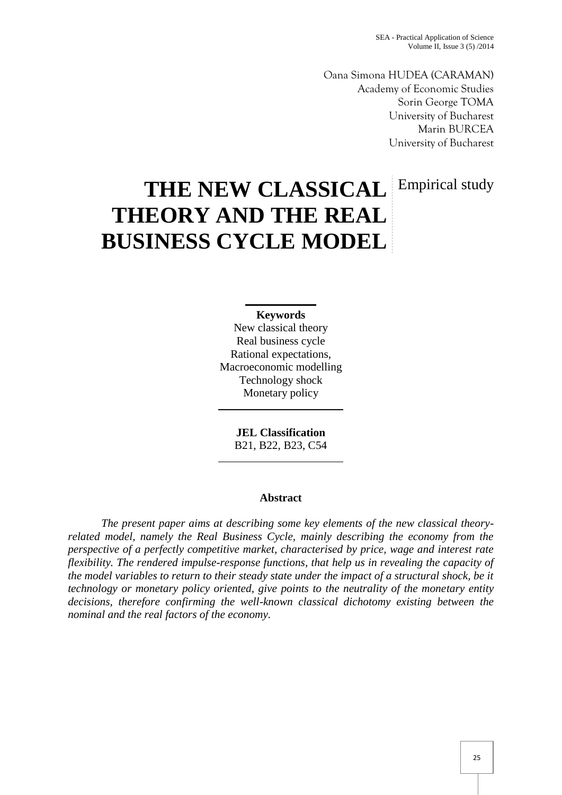Oana Simona HUDEA (CARAMAN) Academy of Economic Studies Sorin George TOMA University of Bucharest Marin BURCEA University of Bucharest

Empirical study

# **THE NEW CLASSICAL THEORY AND THE REAL BUSINESS CYCLE MODEL**

## **Keywords**

New classical theory Real business cycle Rational expectations, Macroeconomic modelling Technology shock Monetary policy

> **JEL Classification** B21, B22, B23, C54

## **Abstract**

*The present paper aims at describing some key elements of the new classical theory related model, namely the Real Business Cycle, mainly describing the economy from the perspective of a perfectly competitive market, characterised by price, wage and interest rate flexibility. The rendered impulse-response functions, that help us in revealing the capacity of the model variables to return to their steady state under the impact of a structural shock, be it technology or monetary policy oriented, give points to the neutrality of the monetary entity decisions, therefore confirming the well-known classical dichotomy existing between the nominal and the real factors of the economy.*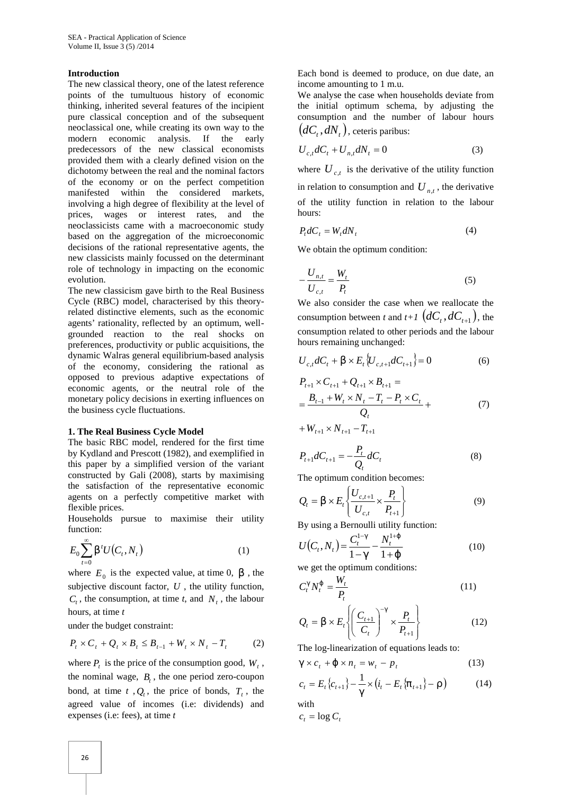#### **Introduction**

The new classical theory, one of the latest reference points of the tumultuous history of economic thinking, inherited several features of the incipient pure classical conception and of the subsequent neoclassical one, while creating its own way to the modern economic analysis. If the early predecessors of the new classical economists provided them with a clearly defined vision on the dichotomy between the real and the nominal factors of the economy or on the perfect competition manifested within the considered markets, involving a high degree of flexibility at the level of prices, wages or interest rates, and the neoclassicists came with a macroeconomic study based on the aggregation of the microeconomic decisions of the rational representative agents, the new classicists mainly focussed on the determinant role of technology in impacting on the economic evolution.

The new classicism gave birth to the Real Business Cycle (RBC) model, characterised by this theoryrelated distinctive elements, such as the economic agents' rationality, reflected by an optimum, well grounded reaction to the real shocks on preferences, productivity or public acquisitions, the dynamic Walras general equilibrium-based analysis of the economy, considering the rational as opposed to previous adaptive expectations of economic agents, or the neutral role of the monetary policy decisions in exerting influences on the business cycle fluctuations.

#### **1. The Real Business Cycle Model**

The basic RBC model, rendered for the first time by Kydland and Prescott (1982), and exemplified in this paper by a simplified version of the variant constructed by Gali (2008), starts by maximising the satisfaction of the representative economic agents on a perfectly competitive market with flexible prices.

Households pursue to maximise their utility function:

$$
E_0 \sum_{t=0}^{\infty} S^t U(C_t, N_t)
$$
 (1) 
$$
U(C_t, N_t) = \frac{C_t^{t} - N_t^{t+1}}{1 - x} - \frac{N_t^{t+1}}{1 + \{1 + \{1 + \{1 + \{1 + \} + \} \}}}
$$

where  $E_0$  is the expected value, at time 0, S, the we get the optimum conditions. subjective discount factor, *U* , the utility function,  $C_t$ , the consumption, at time *t*, and  $N_t$ , the labour hours, at time *t*

under the budget constraint:

$$
P_t \times C_t + Q_t \times B_t \leq B_{t-1} + W_t \times N_t - T_t \tag{2}
$$

where  $P_t$  is the price of the consumption good,  $W_t$ ,  $X \times G$ the nominal wage,  $B_t$ , the one period zero-coupon bond, at time  $t$ ,  $Q_t$ , the price of bonds,  $T_t$ , the agreed value of incomes (i.e: dividends) and expenses (i.e: fees), at time *t*

Each bond is deemed to produce, on due date, an income amounting to 1 m.u.

We analyse the case when households deviate from the initial optimum schema, by adjusting the consumption and the number of labour hours  $(dC_t, dN_t)$ , ceteris paribus:

$$
U_{c,t}dC_t + U_{n,t}dN_t = 0
$$
\n(3)

where  $U_{c,t}$  is the derivative of the utility function in relation to consumption and  $U_{n,t}$ , the derivative of the utility function in relation to the labour hours:

$$
P_t dC_t = W_t dN_t \tag{4}
$$

We obtain the optimum condition:

$$
-\frac{U_{n,t}}{U_{c,t}} = \frac{W_t}{P_t}
$$
 (5)

We also consider the case when we reallocate the consumption between *t* and  $t+1$   $(dC_t, dC_{t+1})$ , the consumption related to other periods and the labour hours remaining unchanged:

$$
U_{c,t}dC_t + S \times E_t \{U_{c,t+1}dC_{t+1}\} = 0
$$
 (6)

$$
P_{t+1} \times C_{t+1} + Q_{t+1} \times B_{t+1} =
$$
  
= 
$$
\frac{B_{t-1} + W_t \times N_t - T_t - P_t \times C_t}{Q_t} +
$$
  
+ 
$$
W_{t+1} \times N_{t+1} - T_{t+1}
$$
 (7)

$$
P_{t+1}dC_{t+1} = -\frac{P_t}{Q_t}dC_t
$$
\n(8)

The optimum condition becomes:

$$
Q_t = S \times E_t \left\{ \frac{U_{c,t+1}}{U_{c,t}} \times \frac{P_t}{P_{t+1}} \right\}
$$
(9)

By using a Bernoulli utility function:

 1 1 , <sup>1</sup> <sup>1</sup> *t t <sup>t</sup> <sup>t</sup> <sup>C</sup> <sup>N</sup> <sup>U</sup> <sup>C</sup> <sup>N</sup>* (10)

we get the optimum conditions:

$$
C_t^x N_t^{\{\}} = \frac{W_t}{P_t} \tag{11}
$$

nours, at time *t*  
\nunder the budget constraint:  
\n
$$
Q_t = S \times E_t \left\{ \left( \frac{C_{t+1}}{C_t} \right)^{-x} \times \frac{P_t}{P_{t+1}} \right\}
$$
\n(12)  
\n $P_t \times C_t + Q_t \times B_t \le B_{t-1} + W_t \times N_t - T_t$ \n(2) The log-linearization of equations leads to:

$$
\mathbf{X} \times c_t + \{ \mathbf{X} \cdot \mathbf{n}_t = w_t - p_t \tag{13}
$$

$$
c_{t} = E_{t} \{c_{t+1}\} - \frac{1}{x} \times (i_{t} - E_{t} \{f_{t+1}\} - \dots)
$$
 (14)

with

$$
c_t = \log C_t
$$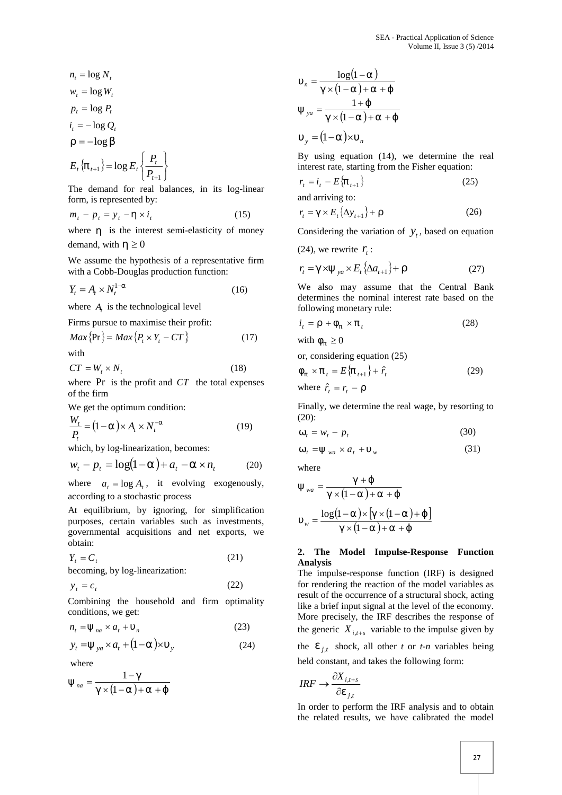$$
n_t = \log N_t
$$
  

$$
w_t = \log W_t
$$

$$
p_t = \log P_t
$$

$$
i_t = -\log Q_t
$$

$$
... = -\log s
$$

$$
E_t \{f_{t+1}\} = \log E_t \left\{\frac{P_t}{P_{t+1}}\right\}
$$
By using eq  
interest rate, s  

$$
r = i_t - E\{f_t\}
$$

The demand for real balances, in its log-linear form, is represented by:

$$
m_t - p_t = y_t - y \times i_t \tag{15}
$$

where  $y$  is the interest semi-elasticity of money demand, with  $y \ge 0$ 

We assume the hypothesis of a representative firm with a Cobb-Douglas production function:

$$
Y_t = A_t \times N_t^{1-r} \tag{16}
$$

where  $A_t$  is the technological level

Firms pursue to maximise their profit:

$$
Max\{\Pr\} = Max\{P_t \times Y_t - CT\}
$$
 (17) with  $w_f \ge 0$ 

with

$$
CT = W_t \times N_t \tag{18}
$$

where Pr is the profit and *CT* the total expenses of the firm

We get the optimum condition:

$$
\frac{W_t}{P_t} = (1 - \Gamma) \times A_t \times N_t^{-\Gamma}
$$
\n(19) (20):  
\n
$$
\tilde{S}_t = w_t - p_t
$$

which, by log-linearization, becomes:

$$
w_t - p_t = \log(1 - \Gamma) + a_t - \Gamma \times n_t \tag{20}
$$
 where

where  $a_t = \log A_t$ , it evolving exogenously, according to a stochastic process

At equilibrium, by ignoring, for simplification purposes, certain variables such as investments, governmental acquisitions and net exports, we obtain:

$$
Y_t = C_t \tag{21}
$$

becoming, by log-linearization:

$$
y_t = c_t \tag{22}
$$

Combining the household and firm optimality conditions, we get:

$$
n_t = \mathbb{E}_{na} \times a_t + \hat{a}_n \tag{23}
$$
 the g

$$
y_t = \mathbb{E}_{ya} \times a_t + (1 - r) \times \hat{y}
$$
 (24)

where

$$
\mathbb{E}_{na} = \frac{1 - x}{x \times (1 - r) + r + \{}
$$
\n
$$
IRF \to \frac{\partial X_{i,t+s}}{\partial V_{j,t}}
$$

$$
\hat{r}_n = \frac{\log(1-r)}{\mathbf{x} \times (1-r) + r + \mathbf{r}}
$$
  
\n
$$
\mathbf{E}_{ya} = \frac{1+\mathbf{r}}{\mathbf{x} \times (1-r) + r + \mathbf{r}}
$$
  
\n
$$
\hat{r}_y = (1-r)\mathbf{x} \hat{r}_n
$$

 $E_t \{f_{t+1}\} = \log E_t \{\frac{f_t}{R}\}$  interest rate, starting from the Fisher equation:  $P_t$  By using equation (14), we determine the real

$$
r_t = i_t - E\{f_{t+1}\}
$$
 (25)

and arriving to:

$$
r_t = \mathsf{X} \times E_t \{\Delta y_{t+1}\} + \dots \tag{26}
$$

Considering the variation of  $y_t$ , based on equation

(24), we rewrite 
$$
r_t
$$
:

$$
r_t = \mathbf{X} \times \mathbf{E}_{ya} \times E_t \{ \Delta a_{t+1} \} + \dots \tag{27}
$$

We also may assume that the Central Bank determines the nominal interest rate based on the following monetary rule:

$$
i_t = ... + w_f \times f_t \tag{28}
$$

or, considering equation (25)

$$
W_f \times f_t = E\{f_{t+1}\} + \hat{r}_t
$$
 (29)  
where  $\hat{r}_t = r_t - ...$ 

Finally, we determine the real wage, by resorting to (20):

$$
\tilde{\mathbf{S}}_t = w_t - p_t \tag{30}
$$

$$
\check{S}_t = \mathbb{E}_{wa} \times a_t + \hat{w}
$$
 (31)

where

$$
\mathbb{E}_{wa} = \frac{x + \{ \\ x \times (1 - r) + r + \{ \\ w = \frac{\log(1 - r) \times [x \times (1 - r) + \{ \\ x \times (1 - r) + r + \{ \\w = \frac{x}{\sqrt{1 - r} + r + \{ \\w = \frac{x}{\sqrt{1 - r} + r + \{ \\w = \frac{x}{\sqrt{1 - r} + r + \{ \\w = \frac{x}{\sqrt{1 - r} + r + \{ \\w = \frac{x}{\sqrt{1 - r} + r + \{ \\w = \frac{x}{\sqrt{1 - r} + r + \{ \\w = \frac{x}{\sqrt{1 - r} + r + \{ \\w = \frac{x}{\sqrt{1 - r} + r + \{ \\w = \frac{x}{\sqrt{1 - r} + r + \{ \\w = \frac{x}{\sqrt{1 - r} + r + \{ \\w = \frac{x}{\sqrt{1 - r} + r + \{ \\w = \frac{x}{\sqrt{1 - r} + r + \{ \\w = \frac{x}{\sqrt{1 - r} + r + \{ \\w = \frac{x}{\sqrt{1 - r} + r + \{ \\w = \frac{x}{\sqrt{1 - r} + r + \{ \\w = \frac{x}{\sqrt{1 - r} + r + \{ \\w = \frac{x}{\sqrt{1 - r} + r + \{ \\w = \frac{x}{\sqrt{1 - r} + r + \{ \\w = \frac{x}{\sqrt{1 - r} + r + \{ \\w = \frac{x}{\sqrt{1 - r} + r + \{ \\w = \frac{x}{\sqrt{1 - r} + r + \{ \\w = \frac{x}{\sqrt{1 - r} + r + \{ \\w = \frac{x}{\sqrt{1 - r} + r + \{ \\w = \frac{x}{\sqrt{1 - r} + r + \{ \\w = \frac{x}{\sqrt{1 - r} + r + \{ \\w = \frac{x}{\sqrt{1 - r} + r + \{ \\w = \frac{x}{\sqrt{1 - r} + r + \{ \\w = \frac{x}{\sqrt{1 - r} + r + \{ \\w = \frac{x}{\sqrt{1 - r} + r + \{ \\w = \frac{x}{\sqrt{1 - r} + r + \{ \\w = \frac{x}{\sqrt{1 - r} + r + \{ \\w = \frac{x}{\sqrt{1 - r} + r + \{ \\w = \frac{x}{\sqrt{1 - r} + r + \{ \\w = \frac{x}{\sqrt{1 - r} + r + \{ \\w = \frac{x}{\sqrt{1 - r} + r + \{ \\w = \frac{x}{\sqrt{1 - r} + r + \{ \\w = \frac{x}{
$$

## **2. The Model Impulse-Response Function Analysis**

 $y_t = \mathbb{E}_{ya} \times a_t + (1 - \Gamma) \times \hat{y}$  (24) the  $V_{j,t}$  shock, all other *t* or *t-n* variables being The impulse-response function (IRF) is designed for rendering the reaction of the model variables as result of the occurrence of a structural shock, acting like a brief input signal at the level of the economy. More precisely, the IRF describes the response of the generic  $X_{i,t+s}$  variable to the impulse given by

held constant, and takes the following form:

$$
IRF \to \frac{\partial X_{i,t+s}}{\partial V_{j,t}}
$$

In order to perform the IRF analysis and to obtain the related results, we have calibrated the model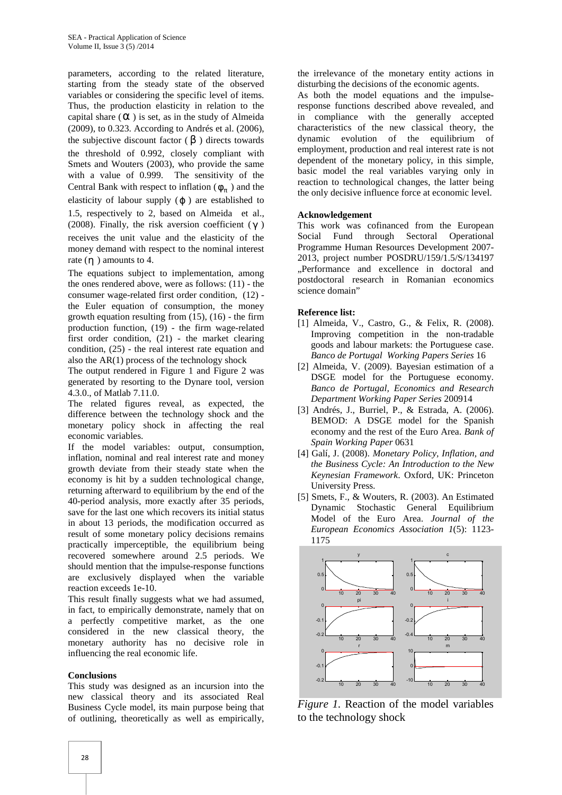parameters, according to the related literature, starting from the steady state of the observed variables or considering the specific level of items. Thus, the production elasticity in relation to the capital share  $(\Gamma)$  is set, as in the study of Almeida (2009), to 0.323. According to Andrés et al. (2006), the subjective discount factor  $(S)$  directs towards the threshold of 0.992, closely compliant with Smets and Wouters (2003), who provide the same with a value of 0.999. The sensitivity of the Central Bank with respect to inflation  $(W_f)$  and the the only decisive influence elasticity of labour supply  $($   $)$  are established to 1.5, respectively to 2, based on Almeida et al., (2008). Finally, the risk aversion coefficient  $(x)$ receives the unit value and the elasticity of the money demand with respect to the nominal interest rate  $(y)$  amounts to 4.

The equations subject to implementation, among the ones rendered above, were as follows: (11) - the consumer wage-related first order condition, (12) the Euler equation of consumption, the money growth equation resulting from  $(15)$ ,  $(16)$  - the firm production function, (19) - the firm wage-related first order condition, (21) - the market clearing condition, (25) - the real interest rate equation and also the  $AR(1)$  process of the technology shock

The output rendered in Figure 1 and Figure 2 was generated by resorting to the Dynare tool, version 4.3.0., of Matlab 7.11.0.

The related figures reveal, as expected, the difference between the technology shock and the monetary policy shock in affecting the real economic variables.

If the model variables: output, consumption, inflation, nominal and real interest rate and money growth deviate from their steady state when the economy is hit by a sudden technological change, returning afterward to equilibrium by the end of the 40-period analysis, more exactly after 35 periods, save for the last one which recovers its initial status in about 13 periods, the modification occurred as result of some monetary policy decisions remains practically imperceptible, the equilibrium being recovered somewhere around 2.5 periods. We should mention that the impulse-response functions are exclusively displayed when the variable reaction exceeds 1e-10.

This result finally suggests what we had assumed, in fact, to empirically demonstrate, namely that on a perfectly competitive market, as the one considered in the new classical theory, the monetary authority has no decisive role in influencing the real economic life.

## **Conclusions**

This study was designed as an incursion into the new classical theory and its associated Real Business Cycle model, its main purpose being that of outlining, theoretically as well as empirically,

the irrelevance of the monetary entity actions in disturbing the decisions of the economic agents.

As both the model equations and the impulseresponse functions described above revealed, and in compliance with the generally accepted characteristics of the new classical theory, the dynamic evolution of the equilibrium of employment, production and real interest rate is not dependent of the monetary policy, in this simple, basic model the real variables varying only in reaction to technological changes, the latter being the only decisive influence force at economic level.

## **Acknowledgement**

This work was cofinanced from the European Social Fund through Sectoral Operational Programme Human Resources Development 2007- 2013, project number POSDRU/159/1.5/S/134197 "Performance and excellence in doctoral and postdoctoral research in Romanian economics science domain"

## **Reference list:**

- [1] Almeida, V., Castro, G., & Felix, R. (2008). Improving competition in the non-tradable goods and labour markets: the Portuguese case. *Banco de Portugal Working Papers Series* 16
- [2] Almeida, V. (2009). Bayesian estimation of a DSGE model for the Portuguese economy. *Banco de Portugal, Economics and Research Department Working Paper Series* 200914
- [3] Andrés, J., Burriel, P., & Estrada, A. (2006). BEMOD: A DSGE model for the Spanish economy and the rest of the Euro Area. *Bank of Spain Working Paper* 0631
- [4] Galí, J. (2008). *Monetary Policy, Inflation, and the Business Cycle: An Introduction to the New Keynesian Framework*. Oxford, UK: Princeton University Press.
- [5] Smets, F., & Wouters, R. (2003). An Estimated Dynamic Stochastic General Equilibrium Model of the Euro Area. *Journal of the European Economics Association 1*(5): 1123- 1175



*Figure 1.* Reaction of the model variables to the technology shock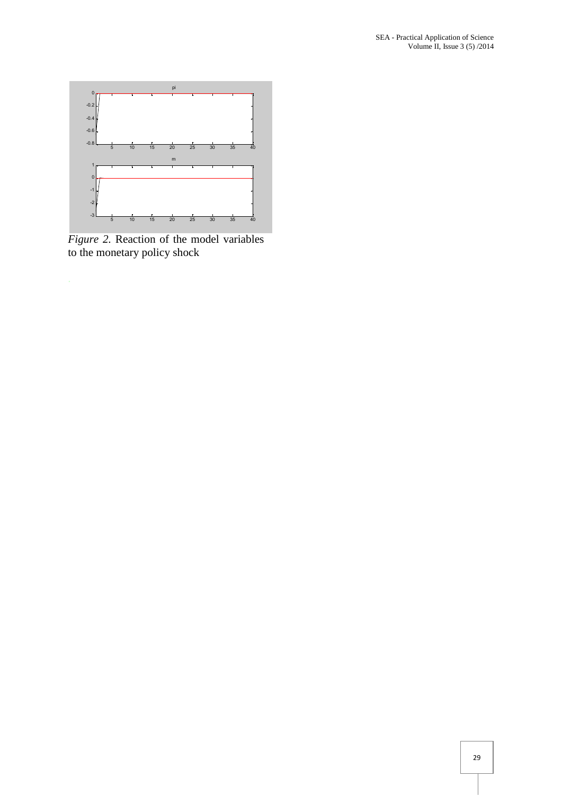

*Figure 2.* Reaction of the model variables to the monetary policy shock